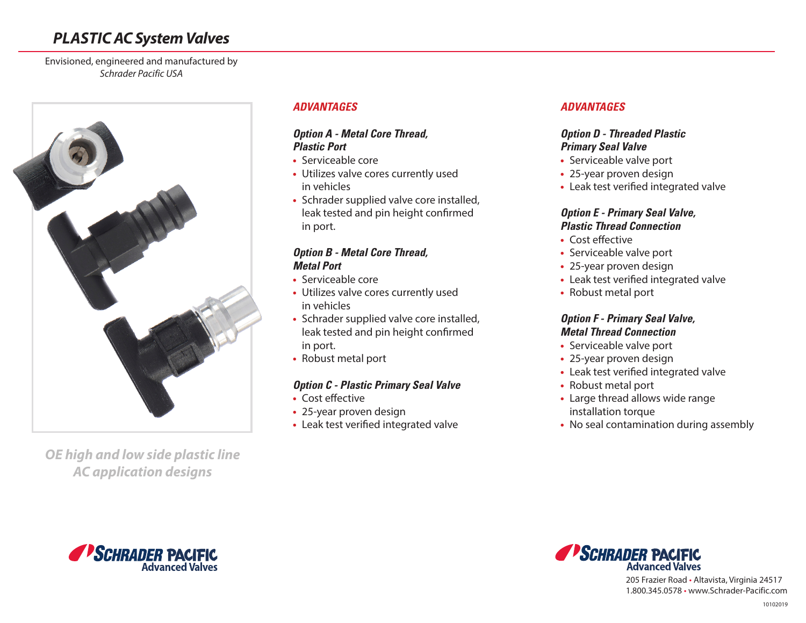# *PLASTIC AC System Valves*

Envisioned, engineered and manufactured by *Schrader Pacific USA*



*OE high and low side plastic line AC application designs*

#### **ADVANTAGES**

#### **Option A - Metal Core Thread, Plastic Port**

- **•** Serviceable core
- **•** Utilizes valve cores currently used in vehicles
- **•** Schrader supplied valve core installed, leak tested and pin height confirmed in port.

# **Option B - Metal Core Thread, Metal Port**

- **•** Serviceable core
- **•** Utilizes valve cores currently used in vehicles
- **•** Schrader supplied valve core installed, leak tested and pin height confirmed in port.
- **•** Robust metal port

## **Option C - Plastic Primary Seal Valve**

- **•** Cost effective
- **•** 25-year proven design
- **•** Leak test verified integrated valve

# **ADVANTAGES**

# **Option D - Threaded Plastic Primary Seal Valve**

- **•** Serviceable valve port
- **•** 25-year proven design
- **•** Leak test verified integrated valve

#### **Option E - Primary Seal Valve, Plastic Thread Connection**

- **•** Cost effective
- **•** Serviceable valve port
- **•** 25-year proven design
- **•** Leak test verified integrated valve
- **•** Robust metal port

#### **Option F - Primary Seal Valve, Metal Thread Connection**

- **•** Serviceable valve port
- **•** 25-year proven design
- **•** Leak test verified integrated valve
- **•** Robust metal port
- **•** Large thread allows wide range installation torque
- **•** No seal contamination during assembly





205 Frazier Road • Altavista, Virginia 24517 1.800.345.0578 • www.Schrader-Pacific.com